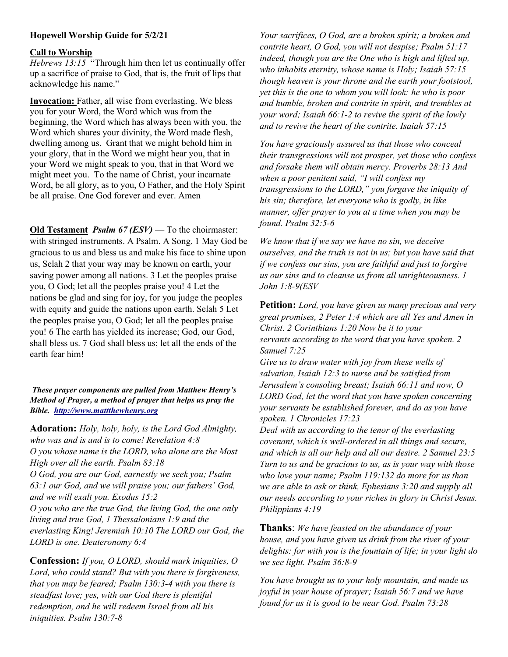## Hopewell Worship Guide for 5/2/21

## Call to Worship

Hebrews 13:15 "Through him then let us continually offer up a sacrifice of praise to God, that is, the fruit of lips that acknowledge his name."

Invocation: Father, all wise from everlasting. We bless you for your Word, the Word which was from the beginning, the Word which has always been with you, the Word which shares your divinity, the Word made flesh, dwelling among us. Grant that we might behold him in your glory, that in the Word we might hear you, that in your Word we might speak to you, that in that Word we might meet you. To the name of Christ, your incarnate Word, be all glory, as to you, O Father, and the Holy Spirit be all praise. One God forever and ever. Amen

Old Testament *Psalm 67 (ESV)* — To the choirmaster: with stringed instruments. A Psalm. A Song. 1 May God be gracious to us and bless us and make his face to shine upon us, Selah 2 that your way may be known on earth, your saving power among all nations. 3 Let the peoples praise you, O God; let all the peoples praise you! 4 Let the nations be glad and sing for joy, for you judge the peoples with equity and guide the nations upon earth. Selah 5 Let the peoples praise you, O God; let all the peoples praise you! 6 The earth has yielded its increase; God, our God, shall bless us. 7 God shall bless us; let all the ends of the earth fear him!

## These prayer components are pulled from Matthew Henry's Method of Prayer, a method of prayer that helps us pray the Bible. http://www.mattthewhenry.org

Adoration: Holy, holy, holy, is the Lord God Almighty, who was and is and is to come! Revelation  $4:8$ O you whose name is the LORD, who alone are the Most High over all the earth. Psalm 83:18 O God, you are our God, earnestly we seek you; Psalm 63:1 our God, and we will praise you; our fathers' God, and we will exalt you. Exodus 15:2 O you who are the true God, the living God, the one only living and true God, 1 Thessalonians 1:9 and the everlasting King! Jeremiah 10:10 The LORD our God, the LORD is one. Deuteronomy 6:4

Confession: If you, O LORD, should mark iniquities, O Lord, who could stand? But with you there is forgiveness, that you may be feared; Psalm 130:3-4 with you there is steadfast love; yes, with our God there is plentiful redemption, and he will redeem Israel from all his iniquities. Psalm 130:7-8

Your sacrifices, O God, are a broken spirit; a broken and contrite heart, O God, you will not despise; Psalm 51:17 indeed, though you are the One who is high and lifted up, who inhabits eternity, whose name is Holy; Isaiah 57:15 though heaven is your throne and the earth your footstool, yet this is the one to whom you will look: he who is poor and humble, broken and contrite in spirit, and trembles at your word; Isaiah 66:1-2 to revive the spirit of the lowly and to revive the heart of the contrite. Isaiah 57:15

You have graciously assured us that those who conceal their transgressions will not prosper, yet those who confess and forsake them will obtain mercy. Proverbs 28:13 And when a poor penitent said, "I will confess my transgressions to the LORD," you forgave the iniquity of his sin; therefore, let everyone who is godly, in like manner, offer prayer to you at a time when you may be found. Psalm 32:5-6

We know that if we say we have no sin, we deceive ourselves, and the truth is not in us; but you have said that if we confess our sins, you are faithful and just to forgive us our sins and to cleanse us from all unrighteousness. 1 John 1:8-9(ESV

Petition: Lord, you have given us many precious and very great promises, 2 Peter 1:4 which are all Yes and Amen in Christ. 2 Corinthians 1:20 Now be it to your servants according to the word that you have spoken. 2 Samuel 7:25

Give us to draw water with joy from these wells of salvation, Isaiah 12:3 to nurse and be satisfied from Jerusalem's consoling breast; Isaiah 66:11 and now, O LORD God, let the word that you have spoken concerning your servants be established forever, and do as you have spoken. 1 Chronicles 17:23

Deal with us according to the tenor of the everlasting covenant, which is well-ordered in all things and secure, and which is all our help and all our desire. 2 Samuel 23:5 Turn to us and be gracious to us, as is your way with those who love your name; Psalm 119:132 do more for us than we are able to ask or think, Ephesians 3:20 and supply all our needs according to your riches in glory in Christ Jesus. Philippians 4:19

Thanks: We have feasted on the abundance of your house, and you have given us drink from the river of your delights: for with you is the fountain of life; in your light do we see light. Psalm 36:8-9

You have brought us to your holy mountain, and made us joyful in your house of prayer; Isaiah 56:7 and we have found for us it is good to be near God. Psalm 73:28